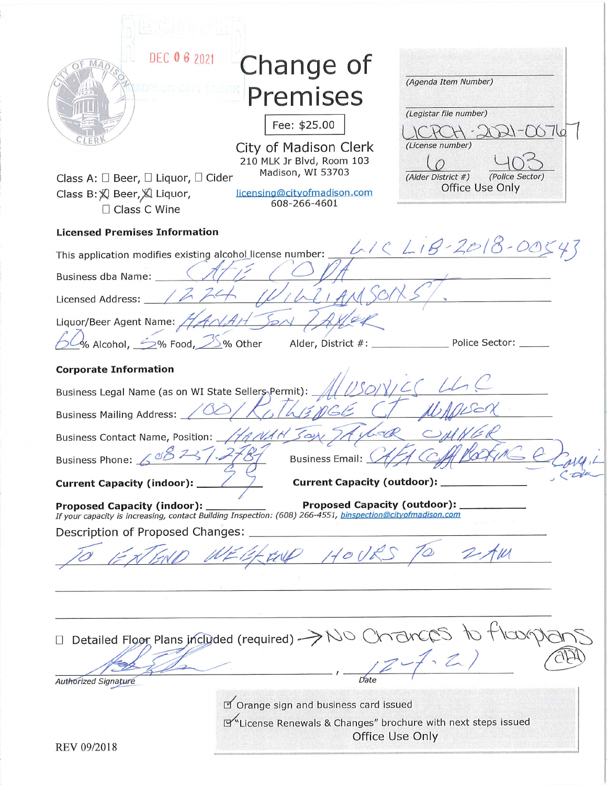| DEC 06 2021<br>Class A: $\square$ Beer, $\square$ Liquor, $\square$ Cider<br>Class B: 又 Beer, 又 Liquor, | Change of<br>Premises<br>Fee: \$25.00<br>City of Madison Clerk<br>210 MLK Jr Blvd, Room 103<br>Madison, WI 53703<br>licensing@cityofmadison.com   | (Agenda Item Number)<br>(Legistar file number)<br>(License number)<br>(Police Sector)<br>(Alder District #)<br>Office Use Only |
|---------------------------------------------------------------------------------------------------------|---------------------------------------------------------------------------------------------------------------------------------------------------|--------------------------------------------------------------------------------------------------------------------------------|
| $\Box$ Class C Wine                                                                                     | 608-266-4601                                                                                                                                      |                                                                                                                                |
| <b>Licensed Premises Information</b>                                                                    |                                                                                                                                                   |                                                                                                                                |
| This application modifies existing alcohol license number:                                              |                                                                                                                                                   | LIC LIB-2018-00543                                                                                                             |
| Business dba Name:                                                                                      |                                                                                                                                                   |                                                                                                                                |
| Licensed Address: _                                                                                     |                                                                                                                                                   |                                                                                                                                |
| Liquor/Beer Agent Name: //<br>% Alcohol, $\leq\%$ Food, $\leq\%$ Other                                  | Alder, District #: _                                                                                                                              | Police Sector: ____                                                                                                            |
| <b>Corporate Information</b>                                                                            |                                                                                                                                                   |                                                                                                                                |
| Business Legal Name (as on WI State Sellers Permit): _<br><b>Business Mailing Address:</b>              |                                                                                                                                                   |                                                                                                                                |
| Business Contact Name, Position: _<br>27<br>Business Phone: $600$                                       | <b>Business Email:</b>                                                                                                                            |                                                                                                                                |
| <b>Current Capacity (indoor):</b>                                                                       | <b>Current Capacity (outdoor):</b>                                                                                                                |                                                                                                                                |
| <b>Proposed Capacity (indoor):</b>                                                                      | <b>Proposed Capacity (outdoor):</b><br>If your capacity is increasing, contact Building Inspection: (608) 266-4551, binspection@cityofmadison.com |                                                                                                                                |
| Description of Proposed Changes:                                                                        |                                                                                                                                                   |                                                                                                                                |
|                                                                                                         |                                                                                                                                                   |                                                                                                                                |
|                                                                                                         |                                                                                                                                                   |                                                                                                                                |
| Detailed Floor Plans included (required) -                                                              |                                                                                                                                                   |                                                                                                                                |
| <b>Authorized Signature</b>                                                                             |                                                                                                                                                   |                                                                                                                                |
|                                                                                                         | D' Orange sign and business card issued                                                                                                           |                                                                                                                                |
|                                                                                                         | License Renewals & Changes" brochure with next steps issued                                                                                       |                                                                                                                                |
| REV 09/2018                                                                                             |                                                                                                                                                   | Office Use Only                                                                                                                |